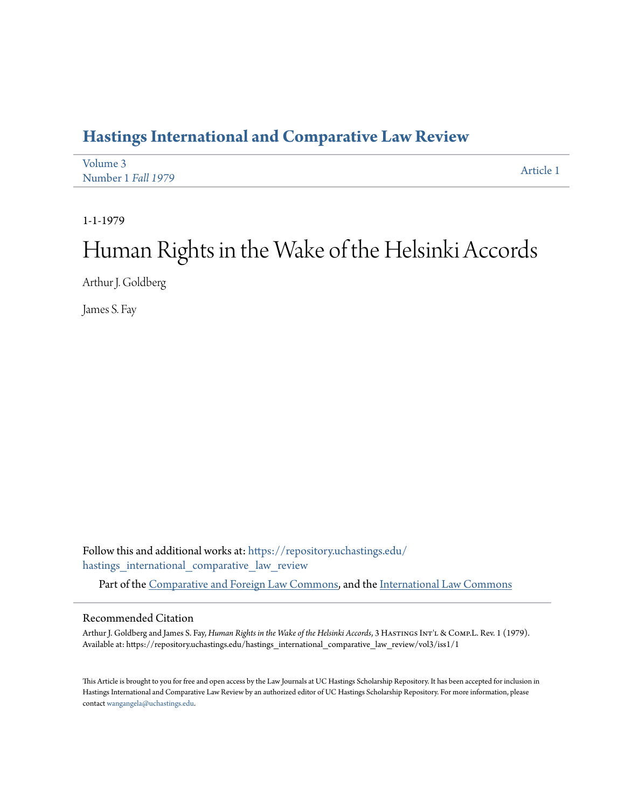## **[Hastings International and Comparative Law Review](https://repository.uchastings.edu/hastings_international_comparative_law_review?utm_source=repository.uchastings.edu%2Fhastings_international_comparative_law_review%2Fvol3%2Fiss1%2F1&utm_medium=PDF&utm_campaign=PDFCoverPages)**

| Volume 3           | Article 1 |
|--------------------|-----------|
| Number 1 Fall 1979 |           |

1-1-1979

# Human Rights in the Wake of the Helsinki Accords

Arthur J. Goldberg

James S. Fay

Follow this and additional works at: [https://repository.uchastings.edu/](https://repository.uchastings.edu/hastings_international_comparative_law_review?utm_source=repository.uchastings.edu%2Fhastings_international_comparative_law_review%2Fvol3%2Fiss1%2F1&utm_medium=PDF&utm_campaign=PDFCoverPages) [hastings\\_international\\_comparative\\_law\\_review](https://repository.uchastings.edu/hastings_international_comparative_law_review?utm_source=repository.uchastings.edu%2Fhastings_international_comparative_law_review%2Fvol3%2Fiss1%2F1&utm_medium=PDF&utm_campaign=PDFCoverPages)

Part of the [Comparative and Foreign Law Commons](http://network.bepress.com/hgg/discipline/836?utm_source=repository.uchastings.edu%2Fhastings_international_comparative_law_review%2Fvol3%2Fiss1%2F1&utm_medium=PDF&utm_campaign=PDFCoverPages), and the [International Law Commons](http://network.bepress.com/hgg/discipline/609?utm_source=repository.uchastings.edu%2Fhastings_international_comparative_law_review%2Fvol3%2Fiss1%2F1&utm_medium=PDF&utm_campaign=PDFCoverPages)

#### Recommended Citation

Arthur J. Goldberg and James S. Fay, *Human Rights in the Wake of the Helsinki Accords*, 3 HastingsInt'l & Comp.L. Rev. 1 (1979). Available at: https://repository.uchastings.edu/hastings\_international\_comparative\_law\_review/vol3/iss1/1

This Article is brought to you for free and open access by the Law Journals at UC Hastings Scholarship Repository. It has been accepted for inclusion in Hastings International and Comparative Law Review by an authorized editor of UC Hastings Scholarship Repository. For more information, please contact [wangangela@uchastings.edu](mailto:wangangela@uchastings.edu).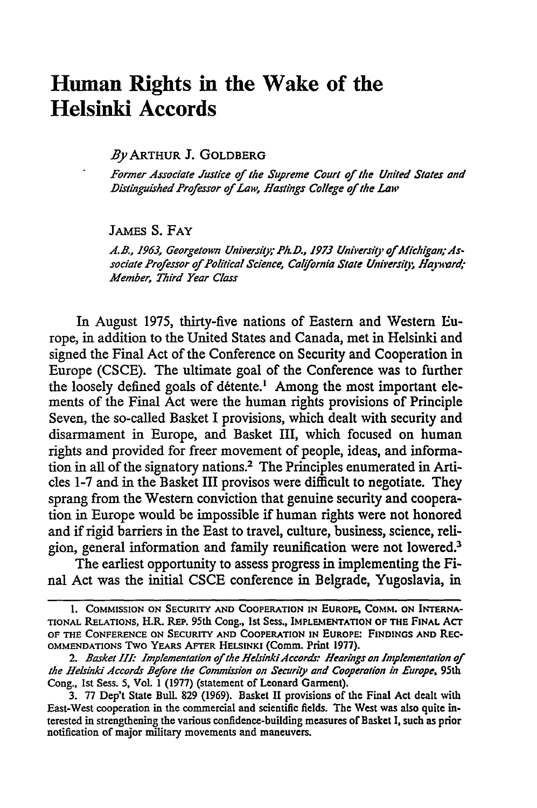## **Human Rights in the Wake of the Helsinki Accords**

By ARTHUR **J.** GOLDBERG

*Former Associate Justice of the Suprene Court of the United States and Distinguished Professor of Law, Hastings College of the Law*

JAMEs **S. FAY**

A.B., 1963, Georgetown University; Ph.D., 1973 University of Michigan; Associate Professor of Political Science, California State University, Hayward; *Member, Third Year Class*

In August 1975, thirty-five nations of Eastern and Western Europe, in addition to the United States and Canada, met in Helsinki and signed the Final Act of the Conference on Security and Cooperation in Europe (CSCE). The ultimate goal of the Conference was to further the loosely defined goals of détente.<sup>1</sup> Among the most important elements of the Final Act were the human rights provisions of Principle Seven, the so-called Basket I provisions, which dealt with security and disarmament in Europe, and Basket III, which focused on human rights and provided for freer movement of people, ideas, and information in all of the signatory nations.2 The Principles enumerated in Articles 1-7 and in the Basket III provisos were difficult to negotiate. They sprang from the Western conviction that genuine security and cooperation in Europe would be impossible if human rights were not honored and if rigid barriers in the East to travel, culture, business, science, religion, general information and family reunification were not lowered.<sup>3</sup>

The earliest opportunity to assess progress in implementing the Final Act was the initial CSCE conference in Belgrade, Yugoslavia, in

**<sup>1.</sup> COMMISSION ON SECURITY AND COOPERATION IN EUROPE, COMM. ON INTERNA-TIONAL** RELATIONS, H.R. REP. 95th **Cong., 1st Sess., IMPLEMENTATION OF THE FINAL** ACT **OF THE CONFERENCE ON SECURITY AND COOPERATION IN EUROPE: FINDINGS AND REC-OMMENDATIONS TWO YEARS AFTER HELSINKI (Comm.** Print **1977).**

<sup>2.</sup> Basket III: Implementation of the Helsinki Accords: Hearings on Implementation of *the Helsinki Accords Before the Commission on Security and Cooperation in Europe,* 95th Cong., **1st** Sess. 5, Vol. 1 (1977) (statement of Leonard Garment).

<sup>3. 77</sup> Dep't State Bull. **829** (1969). Basket II provisions of the Final Act dealt with East-West cooperation in the commercial and scientific fields. The West was also quite interested in strengthening the various confidence-building measures of Basket **1,** such as prior notification of major military movements and maneuvers.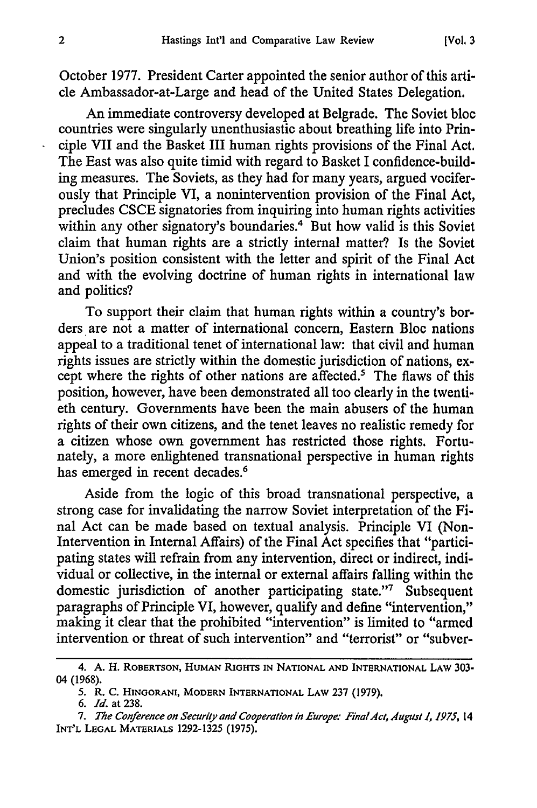October 1977. President Carter appointed the senior author of this article Ambassador-at-Large and head of the United States Delegation.

An immediate controversy developed at Belgrade. The Soviet bloc countries were singularly unenthusiastic about breathing life into Principle VII and the Basket III human rights provisions of the Final Act. The East was also quite timid with regard to Basket I confidence-building measures. The Soviets, as they had for many years, argued vociferously that Principle VI, a nonintervention provision of the Final Act, precludes CSCE signatories from inquiring into human rights activities within any other signatory's boundaries.<sup>4</sup> But how valid is this Soviet claim that human rights are a strictly internal matter? Is the Soviet Union's position consistent with the letter and spirit of the Final Act and with the evolving doctrine of human rights in international law and politics?

To support their claim that human rights within a country's borders are not a matter of international concern, Eastern Bloc nations appeal to a traditional tenet of international law: that civil and human rights issues are strictly within the domestic jurisdiction of nations, except where the rights of other nations are affected.' The flaws of this position, however, have been demonstrated all too clearly in the twentieth century. Governments have been the main abusers of the human rights of their own citizens, and the tenet leaves no realistic remedy for a citizen whose own government has restricted those rights. Fortunately, a more enlightened transnational perspective in human rights has emerged in recent decades.<sup>6</sup>

Aside from the logic of this broad transnational perspective, a strong case for invalidating the narrow Soviet interpretation of the Final Act can be made based on textual analysis. Principle VI (Non-Intervention in Internal Affairs) of the Final Act specifies that "participating states will refrain from any intervention, direct or indirect, individual or collective, in the internal or external affairs falling within the domestic jurisdiction of another participating state."7 Subsequent paragraphs of Principle VI, however, qualify and define "intervention," making it clear that the prohibited "intervention" is limited to "armed intervention or threat of such intervention" and "terrorist" or "subver-

<sup>4.</sup> **A.** H. **ROBERTSON, HUMAN RIGHTS IN** NATIONAL **AND INTERNATIONAL LAW** 303- 04 (1968).

**<sup>5.</sup>** R. **C. HINGORANI,** MODERN **INTERNATIONAL LAW 237 (1979).**

*<sup>6.</sup> Id.* at 238.

<sup>7.</sup> The Conference on Security and Cooperation in Europe: Final Act, August 1, 1975, 14 **INT'L LEGAL** MATERIALS 1292-1325 (1975).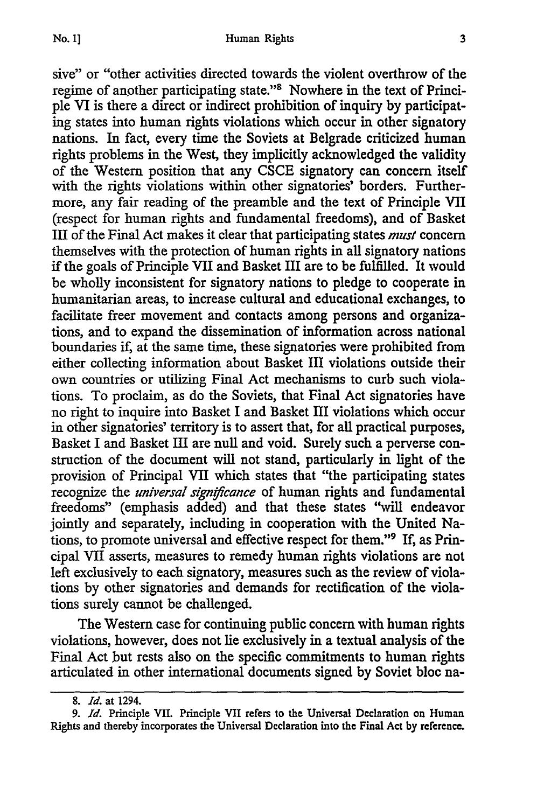sive" or "other activities directed towards the violent overthrow of the regime of another participating state."' Nowhere in the text of Principle VI is there a direct or indirect prohibition of inquiry by participating states into human fights violations which occur in other signatory nations. In fact, every time the Soviets at Belgrade criticized human rights problems in the West, they implicitly acknowledged the validity of the Western position that any CSCE signatory can concern itself with the rights violations within other signatories' borders. Furthermore, any fair reading of the preamble and the text of Principle VII (respect for human rights and fundamental freedoms), and of Basket III of the Final Act makes it clear that participating states *must* concern themselves with the protection of human rights in all signatory nations if the goals of Principle VII and Basket III are to be fulfilled. It would be wholly inconsistent for signatory nations to pledge to cooperate in humanitarian areas, to increase cultural and educational exchanges, to facilitate freer movement and contacts among persons and organizations, and to expand the dissemination of information across national boundaries if, at the same time, these signatories were prohibited from either collecting information about Basket **III** violations outside their own countries or utilizing Final Act mechanisms to curb such violations. To proclaim, as do the Soviets, that Final Act signatories have no right to inquire into Basket I and Basket III violations which occur in other signatories' territory is to assert that, for all practical purposes, Basket I and Basket III are null and void. Surely such a perverse construction of the document will not stand, particularly in light of the provision of Principal VII which states that "the participating states recognize the *universal signfcance* of human rights and fundamental freedoms" (emphasis added) and that these states "will endeavor jointly and separately, including in cooperation with the United Nations, to promote universal and effective respect for them."<sup>9</sup> If, as Principal VII asserts, measures to remedy human rights violations are not left exclusively to each signatory, measures such as the review of violations by other signatories and demands for rectification of the violations surely cannot be challenged.

The Western case for continuing public concern with human rights violations, however, does not lie exclusively in a textual analysis of the Final Act but rests also on the specific commitments to human rights articulated in other international documents signed by Soviet bloc na-

<sup>8.</sup> *Id.* at 1294.

*<sup>9.</sup> Id.* Principle VIL Principle **VII** refers to the Universal Declaration **on** Human Rights and thereby incorporates the Universal Declaration into the Final Act **by** reference.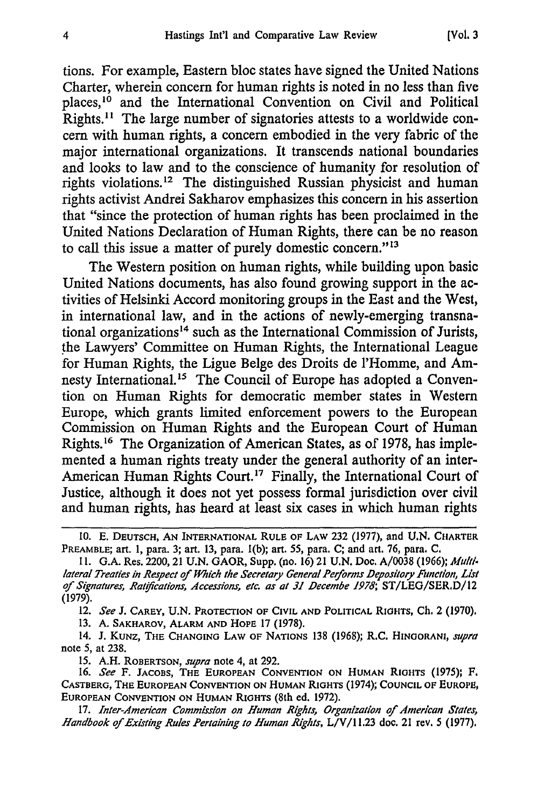tions. For example, Eastern bloc states have signed the United Nations Charter, wherein concern for human rights is noted in no less than five places,<sup>10</sup> and the International Convention on Civil and Political Rights.<sup>11</sup> The large number of signatories attests to a worldwide concern with human rights, a concern embodied in the very fabric of the major international organizations. It transcends national boundaries and looks to law and to the conscience of humanity for resolution of rights violations.<sup>12</sup> The distinguished Russian physicist and human rights activist Andrei Sakharov emphasizes this concern in his assertion that "since the protection of human rights has been proclaimed in the United Nations Declaration of Human Rights, there can be no reason to call this issue a matter of purely domestic concern."<sup>13</sup>

The Western position on human rights, while building upon basic United Nations documents, has also found growing support in the activities of Helsinki Accord monitoring groups in the East and the West, in international law, and in the actions of newly-emerging transnational organizations<sup>14</sup> such as the International Commission of Jurists, the Lawyers' Committee on Human Rights, the International League for Human Rights, the Ligue Belge des Droits de l'Homme, and Amnesty International.<sup>15</sup> The Council of Europe has adopted a Convention on Human Rights for democratic member states in Western Europe, which grants limited enforcement powers to the European Commission on Human Rights and the European Court of Human Rights.'6 The Organization of American States, as of 1978, has implemented a human rights treaty under the general authority of an inter-American Human Rights Court.<sup>17</sup> Finally, the International Court of Justice, although it does not yet possess formal jurisdiction over civil and human rights, has heard at least six cases in which human rights

12. *See* **J.** CAREY, U.N. PROTECTION OF CIVIL **AND** POLITICAL RIGHTS, **Ch.** 2 (1970).

13. A. **SAKHAROV,** ALARM **AND** HOPE 17 (1978).

14. J. KUNZ, **THE CHANGING LAW OF NATIONS** 138 (1968); R.C. HINOORANI, *supra* note 5, at 238.

15. A.H. ROBERTSON, *supra* note 4, at 292.

16. *See* F. JACOBS, **THE EUROPEAN CONVENTION ON HUMAN** RIGHTS (1975); F. **CASTBERG, THE EUROPEAN CONVENTION ON HUMAN** RIGHTS (1974); **COUNCIL OF EUROPE, EUROPEAN CONVENTION ON HUMAN RIGHTS (8th** ed. 1972).

**17.** *Inter-American Commission on Human Rights, Organization of American States, Handbook of Existing Rules Pertaining to Human Rights, L/V/11.23 doc. 21 rev. 5 (1977).* 

**<sup>10.</sup> E. DEUTSCH, AN** INTERNATIONAL RULE OF **LAW 232** (1977), and **U.N.** CHARTER PREAMBLE; art. 1, para. **3;** art. **13,** para. 1(b); **art.** 55, para. C; and art. **76,** para. C.

**<sup>11.</sup>** G.A. Res. 2200, 21 U.N. GAOR, Supp. (no. 16) 21 U.N. **Doc,** A/0038 **(1966); M1u/d/** *lateral Treaties in Respect of Which the Secretary General Performs Depository Function, List of Signatures, Ratfications, Accessions, etc. as at 31 Decembe 1978;* ST/LEG/SERD/12 (1979).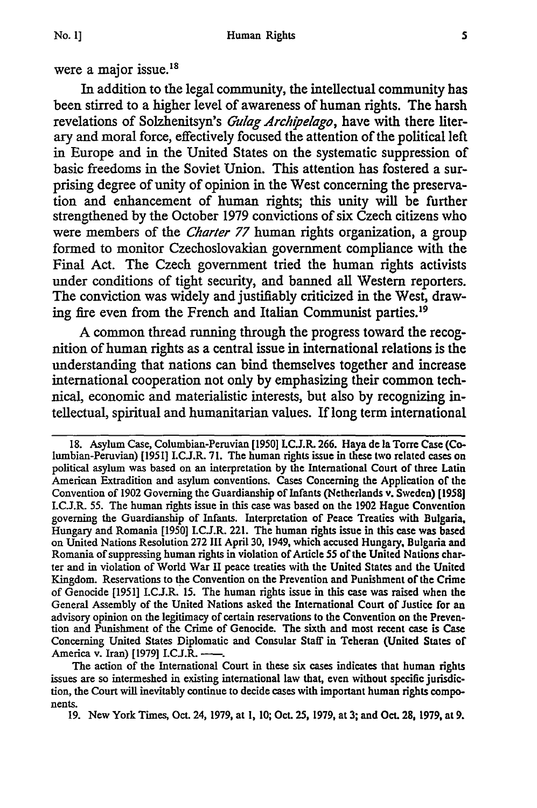**No. 1]**

In addition to the legal community, the intellectual community has been stirred to a higher level of awareness of human rights. The harsh revelations of Solzhenitsyn's *Cruag Archipelago,* have with there literary and moral force, effectively focused the attention of the political left in Europe and in the United States on the systematic suppression of basic freedoms in the Soviet Union. This attention has fostered a surprising degree of unity of opinion in the West concerning the preservation and enhancement of human rights; this unity will be further strengthened by the October 1979 convictions of six Czech citizens who were members of the *Charter 77* human rights organization, a group formed to monitor Czechoslovakian government compliance with the Final Act. The Czech government tried the human rights activists under conditions of tight security, and banned all Western reporters. The conviction was widely and justifiably criticized in the West, drawing fire even from the French and Italian Communist parties.<sup>19</sup>

A common thread running through the progress toward the recognition of human rights as a central issue in international relations is the understanding that nations can bind themselves together and increase international cooperation not only by emphasizing their common technical, economic and materialistic interests, but also by recognizing intellectual, spiritual and humanitarian values. If long term international

**<sup>18.</sup>** Asylum Case, Columbian-Peruvian [1950] **LC.J.R. 266.** Haya de la Torre Case (Columbian-Peruvian) [1951] LC.J.R. 71. The human rights issue in these two related cases on political asylum was based on an interpretation **by** the International Court of three Latin American Extradition and asylum conventions. Cases Concerning the Application of the Convention of 1902 Governing the Guardianship of Infants (Netherlands v. Sweden) [1958] LC.J.R. 55. The human rights issue in this case was based on the 1902 Hague Convention governing the Guardianship of Infants. Interpretation of Peace Treaties with Bulgaria, Hungary and Romania [1950] LCJ.R. 221. The human rights issue in this case was based on United Nations Resolution 272 III April 30, 1949, which accused Hungary, Bulgaria and Romania of suppressing human rights in violation of Article 55 of the United Nations charter and in violation of World War II peace treaties with the United States and the United Kingdom. Reservations to the Convention on the Prevention and Punishment of the Crime of Genocide [1951] LCJ.R. 15. The human rights issue in this case was raised when the General Assembly of the United Nations asked the International Court of Justice for an advisory opinion on the legitimacy of certain reservations to the Convention on the Prevention and Punishment of the Crime of Genocide. The sixth and most recent case is Case Concerning United States Diplomatic and Consular Staff in Teheran (United States of America v. Iran) [1979] I.C.J.R.

The action of the International Court in these six cases indicates that human rights issues are so intermeshed in existing international law that, even without specific jurisdiction, the Court will inevitably continue to decide cases with important human rights components.

<sup>19.</sup> New York Times, Oct. 24, 1979, at **1,** 10; Oct. 25, 1979, at **3;** and Oct. **28,** 1979, at 9.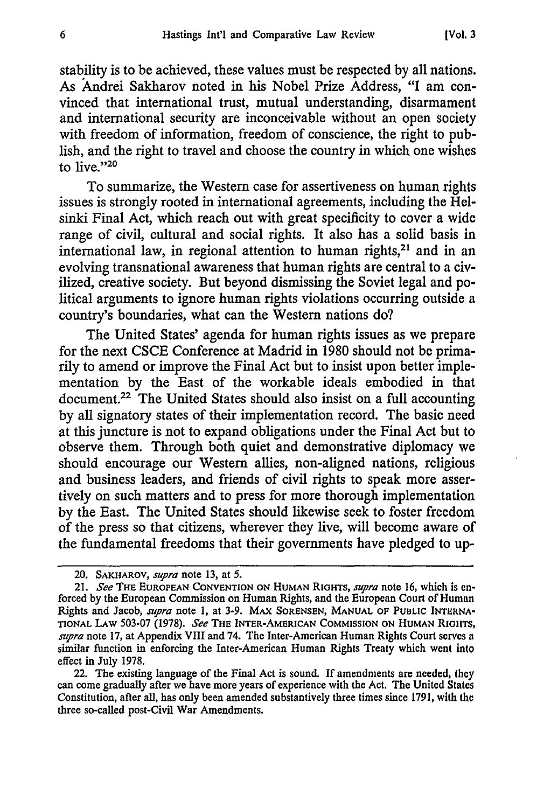stability is to be achieved, these values must be respected by all nations. As Andrei Sakharov noted in his Nobel Prize Address, "I am convinced that international trust, mutual understanding, disarmament and international security are inconceivable without an open society with freedom of information, freedom of conscience, the right to publish, and the right to travel and choose the country in which one wishes to live."20

To summarize, the Western case for assertiveness on human rights issues is strongly rooted in international agreements, including the Helsinki Final Act, which reach out with great specificity to cover a wide range of civil, cultural and social rights. It also has a solid basis in international law, in regional attention to human rights,<sup>21</sup> and in an evolving transnational awareness that human rights are central to a civilized, creative society. But beyond dismissing the Soviet legal and political arguments to ignore human rights violations occurring outside a country's boundaries, what can the Western nations do?

The United States' agenda for human rights issues as we prepare for the next CSCE Conference at Madrid in 1980 should not be primarily to amend or improve the Final Act but to insist upon better implementation **by** the East of the workable ideals embodied in that document.22 The United States should also insist on a full accounting **by** all signatory states of their implementation record. The basic need at this juncture is not to expand obligations under the Final Act but to observe them. Through both quiet and demonstrative diplomacy we should encourage our Western allies, non-aligned nations, religious and business leaders, and friends of civil rights to speak more assertively on such matters and to press for more thorough implementation **by** the East. The United States should likewise seek to foster freedom of the press so that citizens, wherever they live, will become aware of the fundamental freedoms that their governments have pledged to up-

<sup>20.</sup> **SAKHAROV,** *supra* note **13,** at **5.**

<sup>21.</sup> *See* **THE EUROPEAN CONVENTION ON HUMAN** RIGHTS, *supra* note **16,** which **is** enforced **by** the European Commission on Human Rights, and the European Court of Human Rights and Jacob, supra note **1,** at 3-9. **MAX SORENSEN, MANUAL** OF **PUBLIC** INTERNA-**TIONAL** LAW 503-07 (1978). *See* THE INTER-AMERICAN **COMMISSION ON HUMAN** RIGITS, *supra* note **17,** at Appendix VIII and 74. The Inter-American Human Rights Court serves a similar function in enforcing the Inter-American Human Rights Treaty which went into effect in July 1978.

<sup>22.</sup> The existing language of the Final Act is sound. **If** amendments are needed, they can come gradually after we have more years of experience with the Act. The United States Constitution, after all, has only been amended substantively three times since **1791,** with the three so-called post-Civil War Amendments.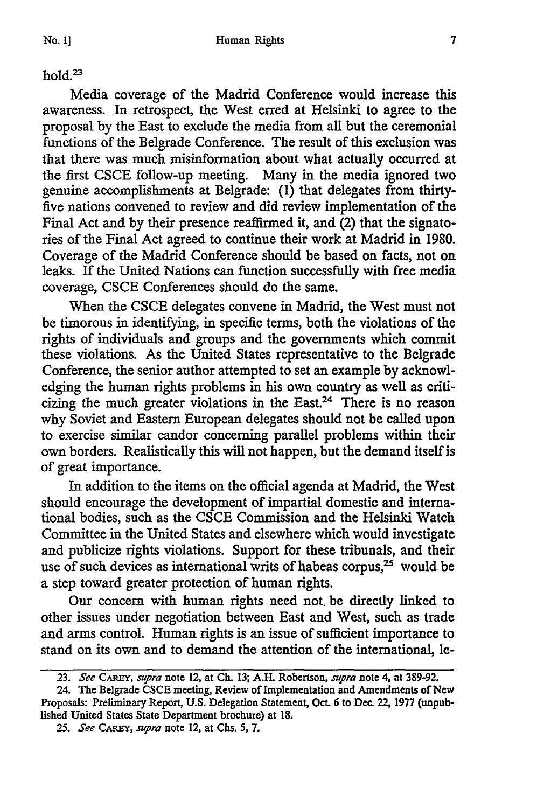### $h$ old. $23$

Media coverage of the Madrid Conference would increase this awareness. In retrospect, the West erred at Helsinki to agree to the proposal by the East to exclude the media from all but the ceremonial functions of the Belgrade Conference. The result of this exclusion was that there was much misinformation about what actually occurred at the first CSCE follow-up meeting. Many in the media ignored two genuine accomplishments at Belgrade: (1) that delegates from thirtyfive nations convened to review and did review implementation of the Final Act and by their presence reaffirmed it, and  $(2)$  that the signatories of the Final Act agreed to continue their work at Madrid in 1980. Coverage of the Madrid Conference should be based on facts, not on leaks. If the United Nations can function successfully with free media coverage, CSCE Conferences should do the same.

When the CSCE delegates convene in Madrid, the West must not be timorous in identifying, in specific terms, both the violations of the rights of individuals and groups and the governments which commit these violations. As the United States representative to the Belgrade Conference, the senior author attempted to set an example by acknowledging the human rights problems in his own country as well as criticizing the much greater violations in the East.24 There is no reason why Soviet and Eastern European delegates should not be called upon to exercise similar candor concerning parallel problems within their own borders. Realistically this will not happen, but the demand itself is of great importance.

In addition to the items on the official agenda at Madrid, the West should encourage the development of impartial domestic and international bodies, such as the CSCE Commission and the Helsinki Watch Committee in the United States and elsewhere which would investigate and publicize rights violations. Support for these tribunals, and their use of such devices as international writs of habeas corpus,<sup>25</sup> would be a step toward greater protection of human rights.

Our concern with human rights need not, be directly linked to other issues under negotiation between East and West, such as trade and arms control. Human rights is an issue of sufficient importance to stand on its own and to demand the attention of the international, le-

*<sup>23.</sup> See CAREY, supra* note 12, at **Ch. 13;** A.H. Robertson, *supra* note 4, at 389-92.

<sup>24.</sup> The Belgrade **CSCE** meeting, Review of Implementation and Amendments of *New* Proposals: Preliminary Report, **U.S.** Delegation Statement, Oct. 6 to Dec. 22, 1977 (unpublished United States State Department brochure) at **18.**

*<sup>25.</sup> See* CAREY, *supra* note 12, at Chs. *5,* **7.**